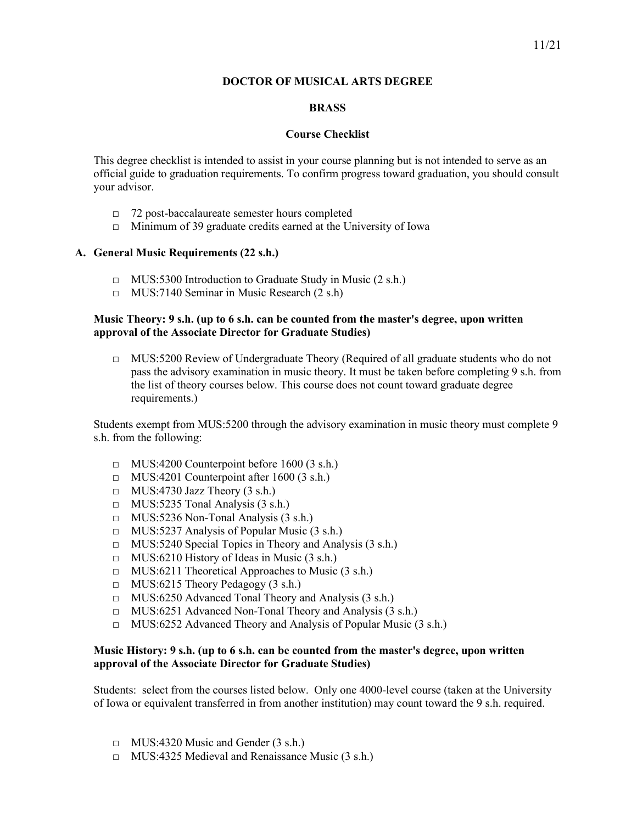# **DOCTOR OF MUSICAL ARTS DEGREE**

# **BRASS**

### **Course Checklist**

This degree checklist is intended to assist in your course planning but is not intended to serve as an official guide to graduation requirements. To confirm progress toward graduation, you should consult your advisor.

- □ 72 post-baccalaureate semester hours completed
- □ Minimum of 39 graduate credits earned at the University of Iowa

### **A. General Music Requirements (22 s.h.)**

- □ MUS:5300 Introduction to Graduate Study in Music (2 s.h.)
- $\Box$  MUS:7140 Seminar in Music Research (2 s.h)

# **Music Theory: 9 s.h. (up to 6 s.h. can be counted from the master's degree, upon written approval of the Associate Director for Graduate Studies)**

 $\Box$  MUS:5200 Review of Undergraduate Theory (Required of all graduate students who do not pass the advisory examination in music theory. It must be taken before completing 9 s.h. from the list of theory courses below. This course does not count toward graduate degree requirements.)

Students exempt from MUS:5200 through the advisory examination in music theory must complete 9 s.h. from the following:

- $\Box$  MUS:4200 Counterpoint before 1600 (3 s.h.)
- $\Box$  MUS:4201 Counterpoint after 1600 (3 s.h.)
- $\Box$  MUS:4730 Jazz Theory (3 s.h.)
- $\Box$  MUS:5235 Tonal Analysis (3 s.h.)
- $\Box$  MUS:5236 Non-Tonal Analysis (3 s.h.)
- □ MUS:5237 Analysis of Popular Music (3 s.h.)
- □ MUS:5240 Special Topics in Theory and Analysis (3 s.h.)
- □ MUS:6210 History of Ideas in Music (3 s.h.)
- □ MUS:6211 Theoretical Approaches to Music (3 s.h.)
- $\Box$  MUS:6215 Theory Pedagogy (3 s.h.)
- □ MUS:6250 Advanced Tonal Theory and Analysis (3 s.h.)
- □ MUS:6251 Advanced Non-Tonal Theory and Analysis (3 s.h.)
- □ MUS:6252 Advanced Theory and Analysis of Popular Music (3 s.h.)

# **Music History: 9 s.h. (up to 6 s.h. can be counted from the master's degree, upon written approval of the Associate Director for Graduate Studies)**

Students: select from the courses listed below. Only one 4000-level course (taken at the University of Iowa or equivalent transferred in from another institution) may count toward the 9 s.h. required.

- $\Box$  MUS:4320 Music and Gender (3 s.h.)
- □ MUS:4325 Medieval and Renaissance Music (3 s.h.)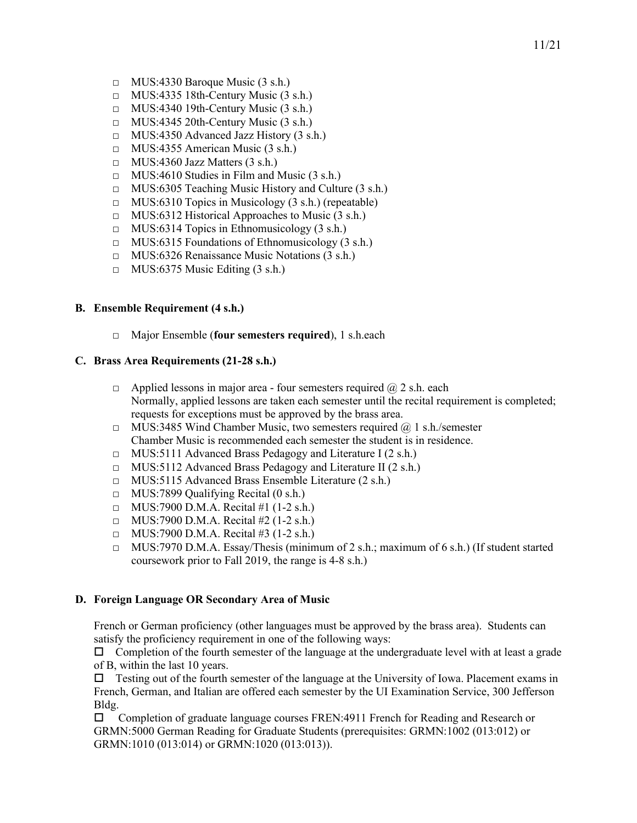- $\Box$  MUS:4330 Baroque Music (3 s.h.)
- $\Box$  MUS:4335 18th-Century Music (3 s.h.)
- □ MUS:4340 19th-Century Music (3 s.h.)
- $\Box$  MUS:4345 20th-Century Music (3 s.h.)
- $\Box$  MUS:4350 Advanced Jazz History (3 s.h.)
- □ MUS:4355 American Music (3 s.h.)
- $\Box$  MUS:4360 Jazz Matters (3 s.h.)
- $\Box$  MUS:4610 Studies in Film and Music (3 s.h.)
- □ MUS:6305 Teaching Music History and Culture (3 s.h.)
- $\Box$  MUS:6310 Topics in Musicology (3 s.h.) (repeatable)
- $\Box$  MUS:6312 Historical Approaches to Music (3 s.h.)
- $\Box$  MUS:6314 Topics in Ethnomusicology (3 s.h.)
- $\Box$  MUS:6315 Foundations of Ethnomusicology (3 s.h.)
- □ MUS:6326 Renaissance Music Notations (3 s.h.)
- $\Box$  MUS:6375 Music Editing (3 s.h.)

# **B. Ensemble Requirement (4 s.h.)**

□ Major Ensemble (**four semesters required**), 1 s.h.each

#### **C. Brass Area Requirements (21-28 s.h.)**

- $\Box$  Applied lessons in major area four semesters required  $\omega/2$  s.h. each Normally, applied lessons are taken each semester until the recital requirement is completed; requests for exceptions must be approved by the brass area.
- $\Box$  MUS:3485 Wind Chamber Music, two semesters required  $\omega$  1 s.h./semester Chamber Music is recommended each semester the student is in residence.
- □ MUS:5111 Advanced Brass Pedagogy and Literature I (2 s.h.)
- □ MUS:5112 Advanced Brass Pedagogy and Literature II (2 s.h.)
- □ MUS:5115 Advanced Brass Ensemble Literature (2 s.h.)
- $\Box$  MUS:7899 Qualifying Recital (0 s.h.)
- $\Box$  MUS:7900 D.M.A. Recital #1 (1-2 s.h.)
- $\Box$  MUS:7900 D.M.A. Recital #2 (1-2 s.h.)
- $\Box$  MUS:7900 D.M.A. Recital #3 (1-2 s.h.)
- $\Box$  MUS:7970 D.M.A. Essay/Thesis (minimum of 2 s.h.; maximum of 6 s.h.) (If student started coursework prior to Fall 2019, the range is 4-8 s.h.)

#### **D. Foreign Language OR Secondary Area of Music**

French or German proficiency (other languages must be approved by the brass area). Students can satisfy the proficiency requirement in one of the following ways:

 $\Box$  Completion of the fourth semester of the language at the undergraduate level with at least a grade of B, within the last 10 years.

 $\Box$  Testing out of the fourth semester of the language at the University of Iowa. Placement exams in French, German, and Italian are offered each semester by the UI Examination Service, 300 Jefferson Bldg.

 Completion of graduate language courses FREN:4911 French for Reading and Research or GRMN:5000 German Reading for Graduate Students (prerequisites: GRMN:1002 (013:012) or GRMN:1010 (013:014) or GRMN:1020 (013:013)).